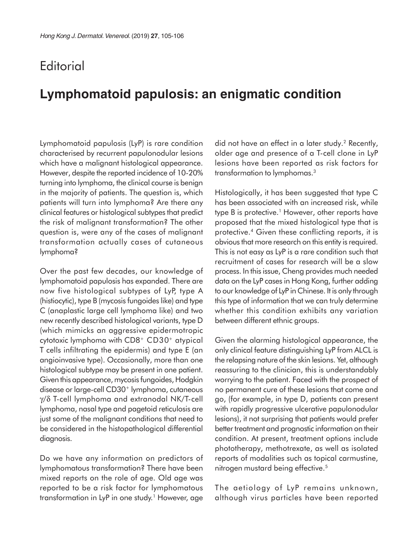## **Editorial**

## **Lymphomatoid papulosis: an enigmatic condition**

Lymphomatoid papulosis (LyP) is rare condition characterised by recurrent papulonodular lesions which have a malignant histological appearance. However, despite the reported incidence of 10-20% turning into lymphoma, the clinical course is benign in the majority of patients. The question is, which patients will turn into lymphoma? Are there any clinical features or histological subtypes that predict the risk of malignant transformation? The other question is, were any of the cases of malignant transformation actually cases of cutaneous lymphoma?

Over the past few decades, our knowledge of lymphomatoid papulosis has expanded. There are now five histological subtypes of LyP, type A (histiocytic), type B (mycosis fungoides like) and type C (anaplastic large cell lymphoma like) and two new recently described histological variants, type D (which mimicks an aggressive epidermotropic cytotoxic lymphoma with CD8+ CD30+ atypical T cells infiltrating the epidermis) and type E (an angioinvasive type). Occasionally, more than one histological subtype may be present in one patient. Given this appearance, mycosis fungoides, Hodgkin disease or large-cell CD30+ lymphoma, cutaneous γ/δ T-cell lymphoma and extranodal NK/T-cell lymphoma, nasal type and pagetoid reticulosis are just some of the malignant conditions that need to be considered in the histopathological differential diagnosis.

Do we have any information on predictors of lymphomatous transformation? There have been mixed reports on the role of age. Old age was reported to be a risk factor for lymphomatous transformation in LyP in one study.<sup>1</sup> However, age

did not have an effect in a later study.<sup>2</sup> Recently, older age and presence of a T-cell clone in LyP lesions have been reported as risk factors for transformation to lymphomas.3

Histologically, it has been suggested that type C has been associated with an increased risk, while type B is protective.<sup>1</sup> However, other reports have proposed that the mixed histological type that is protective.<sup>4</sup> Given these conflicting reports, it is obvious that more research on this entity is required. This is not easy as LyP is a rare condition such that recruitment of cases for research will be a slow process. In this issue, Cheng provides much needed data on the LyP cases in Hong Kong, further adding to our knowledge of LyP in Chinese. It is only through this type of information that we can truly determine whether this condition exhibits any variation between different ethnic groups.

Given the alarming histological appearance, the only clinical feature distinguishing LyP from ALCL is the relapsing nature of the skin lesions. Yet, although reassuring to the clinician, this is understandably worrying to the patient. Faced with the prospect of no permanent cure of these lesions that come and go, (for example, in type D, patients can present with rapidly progressive ulcerative papulonodular lesions), it not surprising that patients would prefer better treatment and prognostic information on their condition. At present, treatment options include phototherapy, methotrexate, as well as isolated reports of modalities such as topical carmustine, nitrogen mustard being effective.<sup>5</sup>

The aetiology of LyP remains unknown, although virus particles have been reported